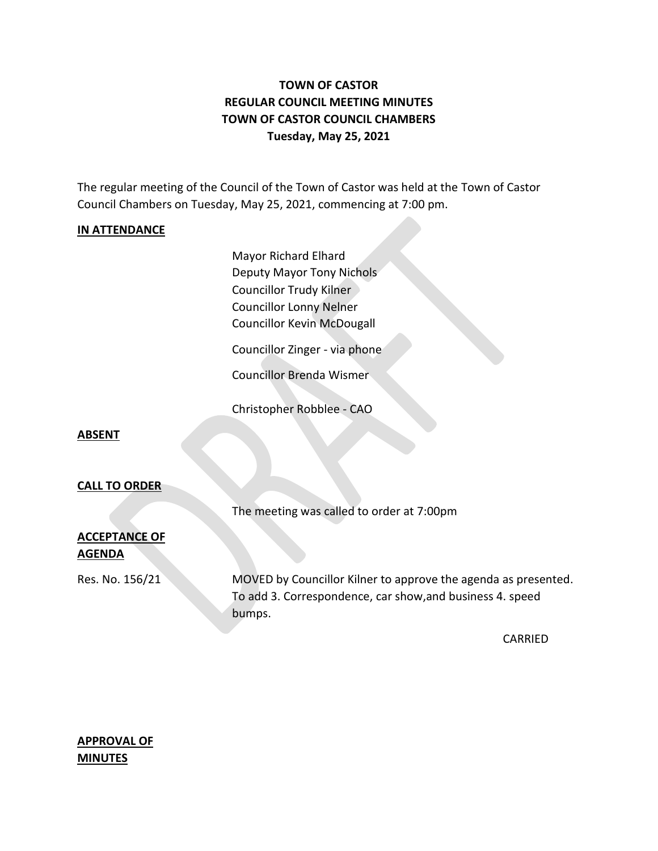# **TOWN OF CASTOR REGULAR COUNCIL MEETING MINUTES TOWN OF CASTOR COUNCIL CHAMBERS Tuesday, May 25, 2021**

The regular meeting of the Council of the Town of Castor was held at the Town of Castor Council Chambers on Tuesday, May 25, 2021, commencing at 7:00 pm.

#### **IN ATTENDANCE**

Mayor Richard Elhard Deputy Mayor Tony Nichols Councillor Trudy Kilner Councillor Lonny Nelner Councillor Kevin McDougall

Councillor Zinger - via phone

Councillor Brenda Wismer

Christopher Robblee - CAO

#### **ABSENT**

#### **CALL TO ORDER**

The meeting was called to order at 7:00pm

## **ACCEPTANCE OF AGENDA**

Res. No. 156/21 MOVED by Councillor Kilner to approve the agenda as presented. To add 3. Correspondence, car show,and business 4. speed bumps.

CARRIED

## **APPROVAL OF MINUTES**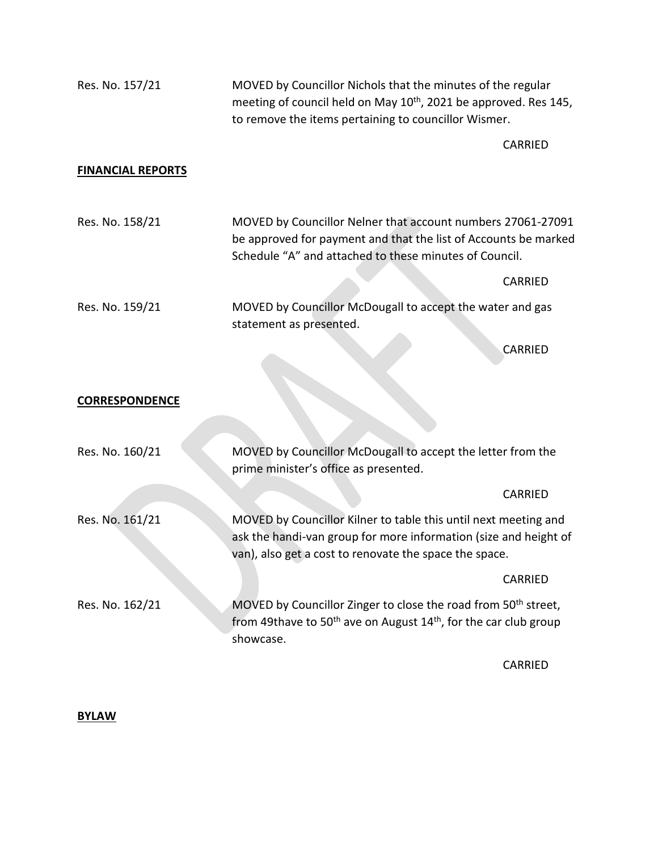| Res. No. 157/21          | MOVED by Councillor Nichols that the minutes of the regular<br>meeting of council held on May 10 <sup>th</sup> , 2021 be approved. Res 145,<br>to remove the items pertaining to councillor Wismer. |                                                                                                                                |  |
|--------------------------|-----------------------------------------------------------------------------------------------------------------------------------------------------------------------------------------------------|--------------------------------------------------------------------------------------------------------------------------------|--|
|                          |                                                                                                                                                                                                     | <b>CARRIED</b>                                                                                                                 |  |
| <b>FINANCIAL REPORTS</b> |                                                                                                                                                                                                     |                                                                                                                                |  |
| Res. No. 158/21          | Schedule "A" and attached to these minutes of Council.                                                                                                                                              | MOVED by Councillor Nelner that account numbers 27061-27091<br>be approved for payment and that the list of Accounts be marked |  |
|                          |                                                                                                                                                                                                     | <b>CARRIED</b>                                                                                                                 |  |
| Res. No. 159/21          | statement as presented.                                                                                                                                                                             | MOVED by Councillor McDougall to accept the water and gas                                                                      |  |
|                          |                                                                                                                                                                                                     | CARRIED                                                                                                                        |  |
| <b>CORRESPONDENCE</b>    |                                                                                                                                                                                                     |                                                                                                                                |  |
| Res. No. 160/21          | MOVED by Councillor McDougall to accept the letter from the<br>prime minister's office as presented.                                                                                                |                                                                                                                                |  |
|                          |                                                                                                                                                                                                     | CARRIED                                                                                                                        |  |
| Res. No. 161/21          | MOVED by Councillor Kilner to table this until next meeting and<br>ask the handi-van group for more information (size and height of<br>van), also get a cost to renovate the space the space.       |                                                                                                                                |  |
|                          |                                                                                                                                                                                                     | <b>CARRIED</b>                                                                                                                 |  |
| Res. No. 162/21          | MOVED by Councillor Zinger to close the road from 50 <sup>th</sup> street,<br>from 49thave to 50 <sup>th</sup> ave on August $14th$ , for the car club group<br>showcase.                           |                                                                                                                                |  |
|                          |                                                                                                                                                                                                     | <b>CARRIED</b>                                                                                                                 |  |

#### **BYLAW**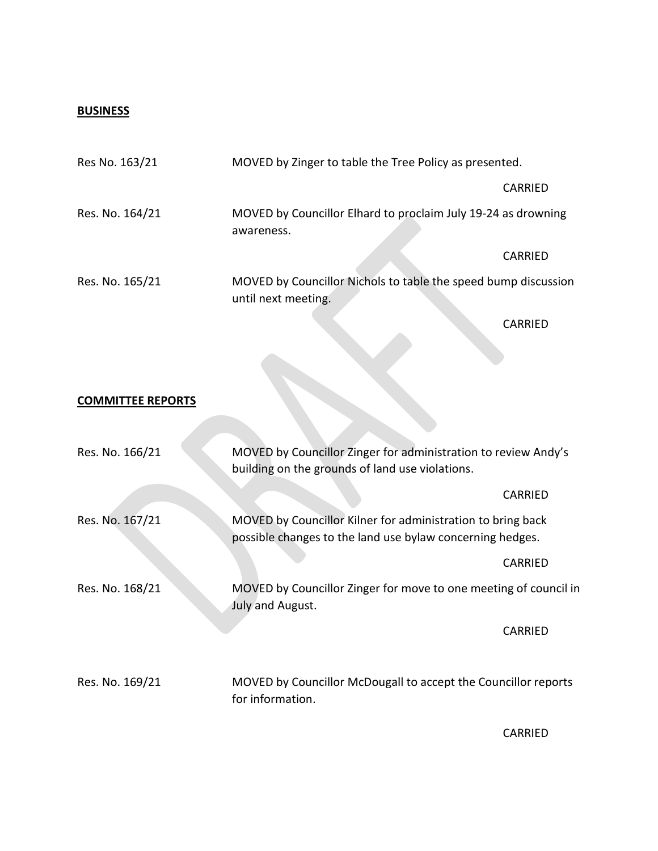## **BUSINESS**

| Res No. 163/21  |                                                                             | MOVED by Zinger to table the Tree Policy as presented.         |  |  |
|-----------------|-----------------------------------------------------------------------------|----------------------------------------------------------------|--|--|
|                 |                                                                             | CARRIED                                                        |  |  |
| Res. No. 164/21 | MOVED by Councillor Elhard to proclaim July 19-24 as drowning<br>awareness. |                                                                |  |  |
|                 |                                                                             | <b>CARRIED</b>                                                 |  |  |
| Res. No. 165/21 | until next meeting.                                                         | MOVED by Councillor Nichols to table the speed bump discussion |  |  |
|                 |                                                                             | CARRIED                                                        |  |  |

#### **COMMITTEE REPORTS**

| Res. No. 166/21 | MOVED by Councillor Zinger for administration to review Andy's<br>building on the grounds of land use violations.        |         |  |
|-----------------|--------------------------------------------------------------------------------------------------------------------------|---------|--|
|                 |                                                                                                                          | CARRIED |  |
| Res. No. 167/21 | MOVED by Councillor Kilner for administration to bring back<br>possible changes to the land use bylaw concerning hedges. |         |  |
|                 |                                                                                                                          | CARRIED |  |
| Res. No. 168/21 | MOVED by Councillor Zinger for move to one meeting of council in<br>July and August.                                     |         |  |
|                 |                                                                                                                          | CARRIED |  |
| Res. No. 169/21 | MOVED by Councillor McDougall to accept the Councillor reports<br>for information.                                       |         |  |

CARRIED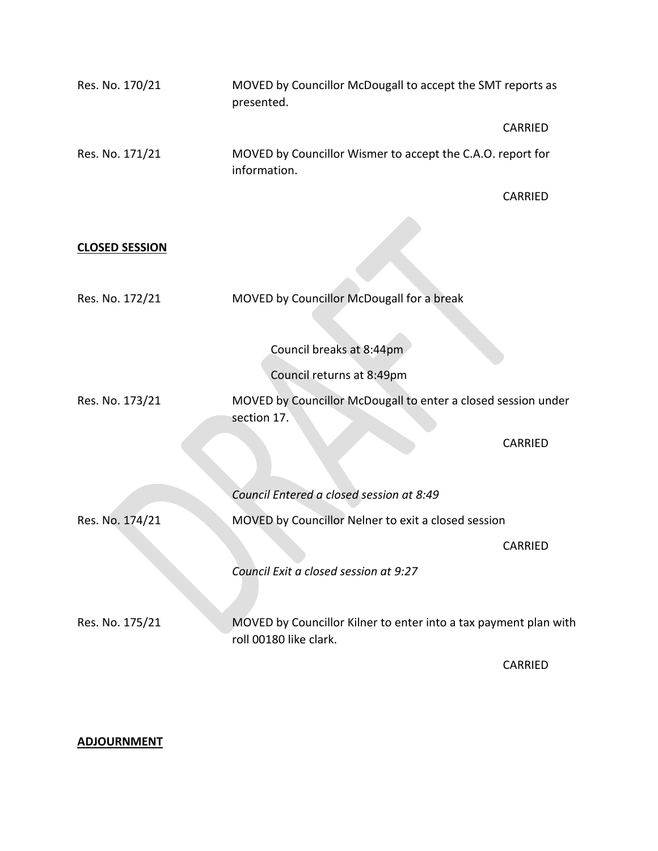| Res. No. 170/21       | MOVED by Councillor McDougall to accept the SMT reports as<br>presented.                   |                |
|-----------------------|--------------------------------------------------------------------------------------------|----------------|
|                       |                                                                                            | <b>CARRIED</b> |
| Res. No. 171/21       | MOVED by Councillor Wismer to accept the C.A.O. report for<br>information.                 |                |
|                       |                                                                                            | <b>CARRIED</b> |
|                       |                                                                                            |                |
| <b>CLOSED SESSION</b> |                                                                                            |                |
|                       |                                                                                            |                |
| Res. No. 172/21       | MOVED by Councillor McDougall for a break                                                  |                |
|                       |                                                                                            |                |
|                       | Council breaks at 8:44pm                                                                   |                |
|                       | Council returns at 8:49pm                                                                  |                |
| Res. No. 173/21       | MOVED by Councillor McDougall to enter a closed session under<br>section 17.               |                |
|                       |                                                                                            | <b>CARRIED</b> |
|                       |                                                                                            |                |
|                       | Council Entered a closed session at 8:49                                                   |                |
| Res. No. 174/21       | MOVED by Councillor Nelner to exit a closed session                                        |                |
|                       |                                                                                            | CARRIED        |
|                       | Council Exit a closed session at 9:27                                                      |                |
|                       |                                                                                            |                |
| Res. No. 175/21       | MOVED by Councillor Kilner to enter into a tax payment plan with<br>roll 00180 like clark. |                |
|                       |                                                                                            | <b>CARRIED</b> |

## **ADJOURNMENT**